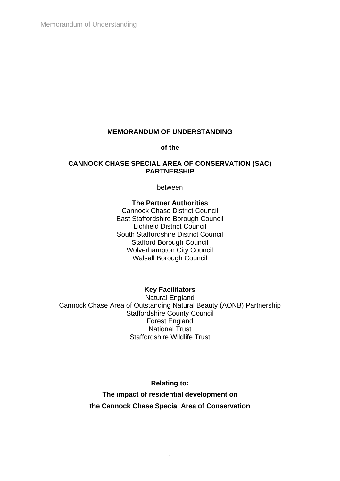Memorandum of Understanding

# **MEMORANDUM OF UNDERSTANDING**

**of the**

# **CANNOCK CHASE SPECIAL AREA OF CONSERVATION (SAC) PARTNERSHIP**

between

#### **The Partner Authorities**

Cannock Chase District Council East Staffordshire Borough Council Lichfield District Council South Staffordshire District Council Stafford Borough Council Wolverhampton City Council Walsall Borough Council

# **Key Facilitators**

Natural England Cannock Chase Area of Outstanding Natural Beauty (AONB) Partnership Staffordshire County Council Forest England National Trust Staffordshire Wildlife Trust

**Relating to:**

**The impact of residential development on the Cannock Chase Special Area of Conservation**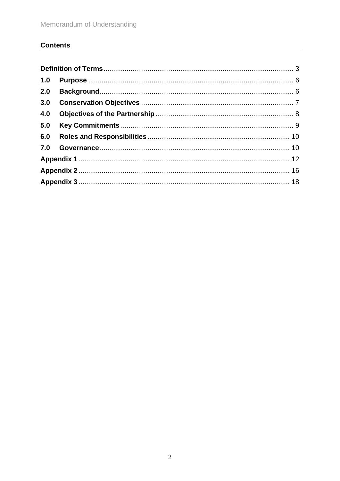# **Contents**

| 1.0 |  |  |
|-----|--|--|
| 2.0 |  |  |
|     |  |  |
| 4.0 |  |  |
| 5.0 |  |  |
| 6.0 |  |  |
|     |  |  |
|     |  |  |
|     |  |  |
|     |  |  |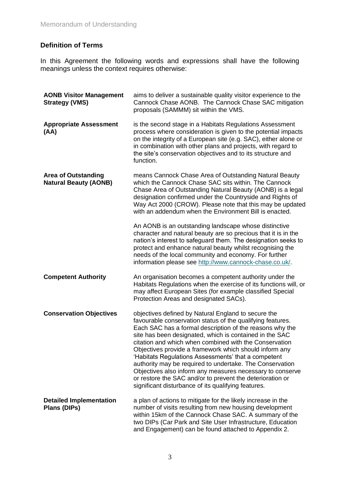# <span id="page-2-0"></span>**Definition of Terms**

In this Agreement the following words and expressions shall have the following meanings unless the context requires otherwise:

| <b>AONB Visitor Management</b><br><b>Strategy (VMS)</b>    | aims to deliver a sustainable quality visitor experience to the<br>Cannock Chase AONB. The Cannock Chase SAC mitigation<br>proposals (SAMMM) sit within the VMS.                                                                                                                                                                                                                                                                                                                                                                                                                                                                                                 |
|------------------------------------------------------------|------------------------------------------------------------------------------------------------------------------------------------------------------------------------------------------------------------------------------------------------------------------------------------------------------------------------------------------------------------------------------------------------------------------------------------------------------------------------------------------------------------------------------------------------------------------------------------------------------------------------------------------------------------------|
| <b>Appropriate Assessment</b><br>(AA)                      | is the second stage in a Habitats Regulations Assessment<br>process where consideration is given to the potential impacts<br>on the integrity of a European site (e.g. SAC), either alone or<br>in combination with other plans and projects, with regard to<br>the site's conservation objectives and to its structure and<br>function.                                                                                                                                                                                                                                                                                                                         |
| <b>Area of Outstanding</b><br><b>Natural Beauty (AONB)</b> | means Cannock Chase Area of Outstanding Natural Beauty<br>which the Cannock Chase SAC sits within. The Cannock<br>Chase Area of Outstanding Natural Beauty (AONB) is a legal<br>designation confirmed under the Countryside and Rights of<br>Way Act 2000 (CROW). Please note that this may be updated<br>with an addendum when the Environment Bill is enacted.                                                                                                                                                                                                                                                                                                 |
|                                                            | An AONB is an outstanding landscape whose distinctive<br>character and natural beauty are so precious that it is in the<br>nation's interest to safeguard them. The designation seeks to<br>protect and enhance natural beauty whilst recognising the<br>needs of the local community and economy. For further<br>information please see http://www.cannock-chase.co.uk/.                                                                                                                                                                                                                                                                                        |
| <b>Competent Authority</b>                                 | An organisation becomes a competent authority under the<br>Habitats Regulations when the exercise of its functions will, or<br>may affect European Sites (for example classified Special<br>Protection Areas and designated SACs).                                                                                                                                                                                                                                                                                                                                                                                                                               |
| <b>Conservation Objectives</b>                             | objectives defined by Natural England to secure the<br>favourable conservation status of the qualifying features.<br>Each SAC has a formal description of the reasons why the<br>site has been designated, which is contained in the SAC<br>citation and which when combined with the Conservation<br>Objectives provide a framework which should inform any<br>'Habitats Regulations Assessments' that a competent<br>authority may be required to undertake. The Conservation<br>Objectives also inform any measures necessary to conserve<br>or restore the SAC and/or to prevent the deterioration or<br>significant disturbance of its qualifying features. |
| <b>Detailed Implementation</b><br>Plans (DIPs)             | a plan of actions to mitigate for the likely increase in the<br>number of visits resulting from new housing development<br>within 15km of the Cannock Chase SAC. A summary of the<br>two DIPs (Car Park and Site User Infrastructure, Education<br>and Engagement) can be found attached to Appendix 2.                                                                                                                                                                                                                                                                                                                                                          |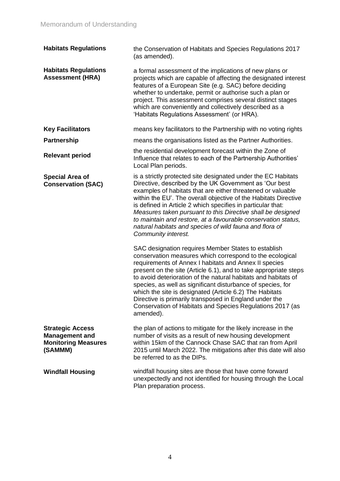| <b>Habitats Regulations</b>                                                               | the Conservation of Habitats and Species Regulations 2017<br>(as amended).                                                                                                                                                                                                                                                                                                                                                                                                                                                                                                   |
|-------------------------------------------------------------------------------------------|------------------------------------------------------------------------------------------------------------------------------------------------------------------------------------------------------------------------------------------------------------------------------------------------------------------------------------------------------------------------------------------------------------------------------------------------------------------------------------------------------------------------------------------------------------------------------|
| <b>Habitats Regulations</b><br><b>Assessment (HRA)</b>                                    | a formal assessment of the implications of new plans or<br>projects which are capable of affecting the designated interest<br>features of a European Site (e.g. SAC) before deciding<br>whether to undertake, permit or authorise such a plan or<br>project. This assessment comprises several distinct stages<br>which are conveniently and collectively described as a<br>'Habitats Regulations Assessment' (or HRA).                                                                                                                                                      |
| <b>Key Facilitators</b>                                                                   | means key facilitators to the Partnership with no voting rights                                                                                                                                                                                                                                                                                                                                                                                                                                                                                                              |
| <b>Partnership</b>                                                                        | means the organisations listed as the Partner Authorities.                                                                                                                                                                                                                                                                                                                                                                                                                                                                                                                   |
| <b>Relevant period</b>                                                                    | the residential development forecast within the Zone of<br>Influence that relates to each of the Partnership Authorities'<br>Local Plan periods.                                                                                                                                                                                                                                                                                                                                                                                                                             |
| <b>Special Area of</b><br><b>Conservation (SAC)</b>                                       | is a strictly protected site designated under the EC Habitats<br>Directive, described by the UK Government as 'Our best<br>examples of habitats that are either threatened or valuable<br>within the EU'. The overall objective of the Habitats Directive<br>is defined in Article 2 which specifies in particular that:<br>Measures taken pursuant to this Directive shall be designed<br>to maintain and restore, at a favourable conservation status,<br>natural habitats and species of wild fauna and flora of<br>Community interest.                                   |
|                                                                                           | SAC designation requires Member States to establish<br>conservation measures which correspond to the ecological<br>requirements of Annex I habitats and Annex II species<br>present on the site (Article 6.1), and to take appropriate steps<br>to avoid deterioration of the natural habitats and habitats of<br>species, as well as significant disturbance of species, for<br>which the site is designated (Article 6.2) The Habitats<br>Directive is primarily transposed in England under the<br>Conservation of Habitats and Species Regulations 2017 (as<br>amended). |
| <b>Strategic Access</b><br><b>Management and</b><br><b>Monitoring Measures</b><br>(SAMMM) | the plan of actions to mitigate for the likely increase in the<br>number of visits as a result of new housing development<br>within 15km of the Cannock Chase SAC that ran from April<br>2015 until March 2022. The mitigations after this date will also<br>be referred to as the DIPs.                                                                                                                                                                                                                                                                                     |
| <b>Windfall Housing</b>                                                                   | windfall housing sites are those that have come forward<br>unexpectedly and not identified for housing through the Local<br>Plan preparation process.                                                                                                                                                                                                                                                                                                                                                                                                                        |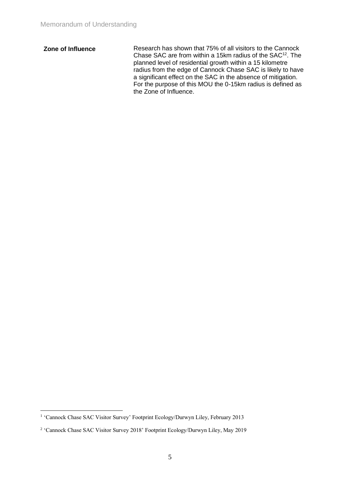**Zone of Influence** Research has shown that 75% of all visitors to the Cannock Chase SAC are from within a 15km radius of the SAC<sup>12</sup>. The planned level of residential growth within a 15 kilometre radius from the edge of Cannock Chase SAC is likely to have a significant effect on the SAC in the absence of mitigation. For the purpose of this MOU the 0-15km radius is defined as the Zone of Influence.

<sup>&</sup>lt;sup>1</sup> 'Cannock Chase SAC Visitor Survey' Footprint Ecology/Durwyn Liley, February 2013

<sup>&</sup>lt;sup>2</sup> 'Cannock Chase SAC Visitor Survey 2018' Footprint Ecology/Durwyn Liley, May 2019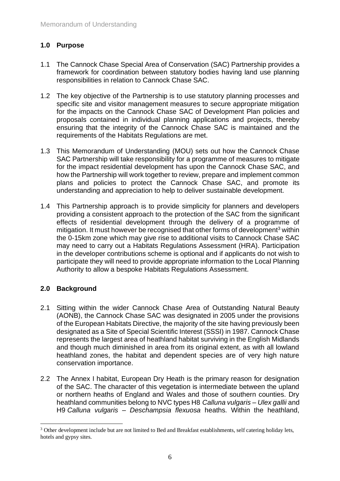# <span id="page-5-0"></span>**1.0 Purpose**

- 1.1 The Cannock Chase Special Area of Conservation (SAC) Partnership provides a framework for coordination between statutory bodies having land use planning responsibilities in relation to Cannock Chase SAC.
- 1.2 The key objective of the Partnership is to use statutory planning processes and specific site and visitor management measures to secure appropriate mitigation for the impacts on the Cannock Chase SAC of Development Plan policies and proposals contained in individual planning applications and projects, thereby ensuring that the integrity of the Cannock Chase SAC is maintained and the requirements of the Habitats Regulations are met.
- 1.3 This Memorandum of Understanding (MOU) sets out how the Cannock Chase SAC Partnership will take responsibility for a programme of measures to mitigate for the impact residential development has upon the Cannock Chase SAC, and how the Partnership will work together to review, prepare and implement common plans and policies to protect the Cannock Chase SAC, and promote its understanding and appreciation to help to deliver sustainable development.
- 1.4 This Partnership approach is to provide simplicity for planners and developers providing a consistent approach to the protection of the SAC from the significant effects of residential development through the delivery of a programme of mitigation. It must however be recognised that other forms of development<sup>3</sup> within the 0-15km zone which may give rise to additional visits to Cannock Chase SAC may need to carry out a Habitats Regulations Assessment (HRA). Participation in the developer contributions scheme is optional and if applicants do not wish to participate they will need to provide appropriate information to the Local Planning Authority to allow a bespoke Habitats Regulations Assessment.

# <span id="page-5-1"></span>**2.0 Background**

- 2.1 Sitting within the wider Cannock Chase Area of Outstanding Natural Beauty (AONB), the Cannock Chase SAC was designated in 2005 under the provisions of the European Habitats Directive, the majority of the site having previously been designated as a Site of Special Scientific Interest (SSSI) in 1987. Cannock Chase represents the largest area of heathland habitat surviving in the English Midlands and though much diminished in area from its original extent, as with all lowland heathland zones, the habitat and dependent species are of very high nature conservation importance.
- 2.2 The Annex I habitat, European Dry Heath is the primary reason for designation of the SAC. The character of this vegetation is intermediate between the upland or northern heaths of England and Wales and those of southern counties. Dry heathland communities belong to NVC types H8 *Calluna vulgaris* – *Ulex gallii* and H9 *Calluna vulgaris* – *Deschampsia flexuosa* heaths. Within the heathland,

<sup>&</sup>lt;sup>3</sup> Other development include but are not limited to Bed and Breakfast establishments, self catering holiday lets, hotels and gypsy sites.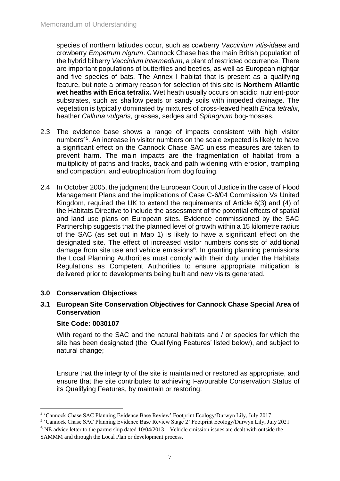species of northern latitudes occur, such as cowberry *Vaccinium vitis-idaea* and crowberry *Empetrum nigrum*. Cannock Chase has the main British population of the hybrid bilberry *Vaccinium intermedium*, a plant of restricted occurrence. There are important populations of butterflies and beetles, as well as European nightjar and five species of bats. The Annex I habitat that is present as a qualifying feature, but note a primary reason for selection of this site is **Northern Atlantic wet heaths with Erica tetralix.** Wet heath usually occurs on acidic, nutrient-poor substrates, such as shallow peats or sandy soils with impeded drainage. The vegetation is typically dominated by mixtures of cross-leaved heath *Erica tetralix*, heather *Calluna vulgaris*, grasses, sedges and *Sphagnum* bog-mosses.

- 2.3 The evidence base shows a range of impacts consistent with high visitor numbers<sup>45</sup>. An increase in visitor numbers on the scale expected is likely to have a significant effect on the Cannock Chase SAC unless measures are taken to prevent harm. The main impacts are the fragmentation of habitat from a multiplicity of paths and tracks, track and path widening with erosion, trampling and compaction, and eutrophication from dog fouling.
- 2.4 In October 2005, the judgment the European Court of Justice in the case of Flood Management Plans and the implications of Case C-6/04 Commission Vs United Kingdom, required the UK to extend the requirements of Article 6(3) and (4) of the Habitats Directive to include the assessment of the potential effects of spatial and land use plans on European sites. Evidence commissioned by the SAC Partnership suggests that the planned level of growth within a 15 kilometre radius of the SAC (as set out in Map 1) is likely to have a significant effect on the designated site. The effect of increased visitor numbers consists of additional damage from site use and vehicle emissions<sup>6</sup>. In granting planning permissions the Local Planning Authorities must comply with their duty under the Habitats Regulations as Competent Authorities to ensure appropriate mitigation is delivered prior to developments being built and new visits generated.

# <span id="page-6-0"></span>**3.0 Conservation Objectives**

# **3.1 European Site Conservation Objectives for Cannock Chase Special Area of Conservation**

# **Site Code: 0030107**

With regard to the SAC and the natural habitats and / or species for which the site has been designated (the 'Qualifying Features' listed below), and subject to natural change;

Ensure that the integrity of the site is maintained or restored as appropriate, and ensure that the site contributes to achieving Favourable Conservation Status of its Qualifying Features, by maintain or restoring:

<sup>4</sup> 'Cannock Chase SAC Planning Evidence Base Review' Footprint Ecology/Durwyn Lily, July 2017

<sup>5</sup> 'Cannock Chase SAC Planning Evidence Base Review Stage 2' Footprint Ecology/Durwyn Lily, July 2021

 $6$  NE advice letter to the partnership dated  $10/04/2013$  – Vehicle emission issues are dealt with outside the SAMMM and through the Local Plan or development process.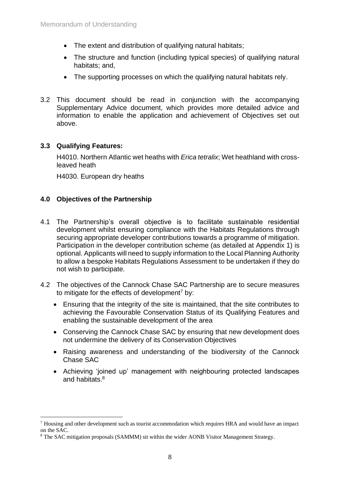- The extent and distribution of qualifying natural habitats;
- The structure and function (including typical species) of qualifying natural habitats; and,
- The supporting processes on which the qualifying natural habitats rely.
- 3.2 This document should be read in conjunction with the accompanying Supplementary Advice document, which provides more detailed advice and information to enable the application and achievement of Objectives set out above.

# **3.3 Qualifying Features:**

H4010. Northern Atlantic wet heaths with *Erica tetralix*; Wet heathland with crossleaved heath

H4030. European dry heaths

# <span id="page-7-0"></span>**4.0 Objectives of the Partnership**

- 4.1 The Partnership's overall objective is to facilitate sustainable residential development whilst ensuring compliance with the Habitats Regulations through securing appropriate developer contributions towards a programme of mitigation. Participation in the developer contribution scheme (as detailed at Appendix 1) is optional. Applicants will need to supply information to the Local Planning Authority to allow a bespoke Habitats Regulations Assessment to be undertaken if they do not wish to participate.
- 4.2 The objectives of the Cannock Chase SAC Partnership are to secure measures to mitigate for the effects of development<sup>7</sup> by:
	- Ensuring that the integrity of the site is maintained, that the site contributes to achieving the Favourable Conservation Status of its Qualifying Features and enabling the sustainable development of the area
	- Conserving the Cannock Chase SAC by ensuring that new development does not undermine the delivery of its Conservation Objectives
	- Raising awareness and understanding of the biodiversity of the Cannock Chase SAC
	- Achieving 'joined up' management with neighbouring protected landscapes and habitats.<sup>8</sup>

 $<sup>7</sup>$  Housing and other development such as tourist accommodation which requires HRA and would have an impact</sup> on the SAC.

<sup>&</sup>lt;sup>8</sup> The SAC mitigation proposals (SAMMM) sit within the wider AONB Visitor Management Strategy.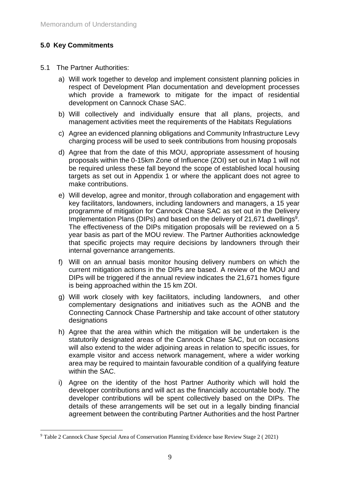# <span id="page-8-0"></span>**5.0 Key Commitments**

- 5.1 The Partner Authorities:
	- a) Will work together to develop and implement consistent planning policies in respect of Development Plan documentation and development processes which provide a framework to mitigate for the impact of residential development on Cannock Chase SAC.
	- b) Will collectively and individually ensure that all plans, projects, and management activities meet the requirements of the Habitats Regulations
	- c) Agree an evidenced planning obligations and Community Infrastructure Levy charging process will be used to seek contributions from housing proposals
	- d) Agree that from the date of this MOU, appropriate assessment of housing proposals within the 0-15km Zone of Influence (ZOI) set out in Map 1 will not be required unless these fall beyond the scope of established local housing targets as set out in Appendix 1 or where the applicant does not agree to make contributions.
	- e) Will develop, agree and monitor, through collaboration and engagement with key facilitators, landowners, including landowners and managers, a 15 year programme of mitigation for Cannock Chase SAC as set out in the Delivery Implementation Plans (DIPs) and based on the delivery of 21,671 dwellings<sup>9</sup>. The effectiveness of the DIPs mitigation proposals will be reviewed on a 5 year basis as part of the MOU review. The Partner Authorities acknowledge that specific projects may require decisions by landowners through their internal governance arrangements.
	- f) Will on an annual basis monitor housing delivery numbers on which the current mitigation actions in the DIPs are based. A review of the MOU and DIPs will be triggered if the annual review indicates the 21,671 homes figure is being approached within the 15 km ZOI.
	- g) Will work closely with key facilitators, including landowners, and other complementary designations and initiatives such as the AONB and the Connecting Cannock Chase Partnership and take account of other statutory designations
	- h) Agree that the area within which the mitigation will be undertaken is the statutorily designated areas of the Cannock Chase SAC, but on occasions will also extend to the wider adjoining areas in relation to specific issues, for example visitor and access network management, where a wider working area may be required to maintain favourable condition of a qualifying feature within the SAC.
	- i) Agree on the identity of the host Partner Authority which will hold the developer contributions and will act as the financially accountable body. The developer contributions will be spent collectively based on the DIPs. The details of these arrangements will be set out in a legally binding financial agreement between the contributing Partner Authorities and the host Partner

<sup>9</sup> Table 2 Cannock Chase Special Area of Conservation Planning Evidence base Review Stage 2 ( 2021)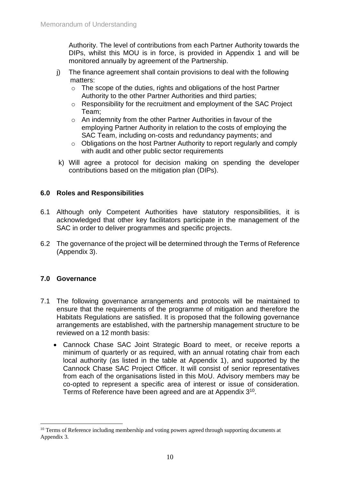Authority. The level of contributions from each Partner Authority towards the DIPs, whilst this MOU is in force, is provided in Appendix 1 and will be monitored annually by agreement of the Partnership.

- j) The finance agreement shall contain provisions to deal with the following matters:
	- o The scope of the duties, rights and obligations of the host Partner Authority to the other Partner Authorities and third parties;
	- o Responsibility for the recruitment and employment of the SAC Project Team;
	- o An indemnity from the other Partner Authorities in favour of the employing Partner Authority in relation to the costs of employing the SAC Team, including on-costs and redundancy payments; and
	- o Obligations on the host Partner Authority to report regularly and comply with audit and other public sector requirements
- k) Will agree a protocol for decision making on spending the developer contributions based on the mitigation plan (DIPs).

# <span id="page-9-0"></span>**6.0 Roles and Responsibilities**

- 6.1 Although only Competent Authorities have statutory responsibilities, it is acknowledged that other key facilitators participate in the management of the SAC in order to deliver programmes and specific projects.
- 6.2 The governance of the project will be determined through the Terms of Reference (Appendix 3).

# <span id="page-9-1"></span>**7.0 Governance**

- 7.1 The following governance arrangements and protocols will be maintained to ensure that the requirements of the programme of mitigation and therefore the Habitats Regulations are satisfied. It is proposed that the following governance arrangements are established, with the partnership management structure to be reviewed on a 12 month basis:
	- Cannock Chase SAC Joint Strategic Board to meet, or receive reports a minimum of quarterly or as required, with an annual rotating chair from each local authority (as listed in the table at Appendix 1), and supported by the Cannock Chase SAC Project Officer. It will consist of senior representatives from each of the organisations listed in this MoU. Advisory members may be co-opted to represent a specific area of interest or issue of consideration. Terms of Reference have been agreed and are at Appendix 3<sup>10</sup>.

<sup>&</sup>lt;sup>10</sup> Terms of Reference including membership and voting powers agreed through supporting documents at Appendix 3.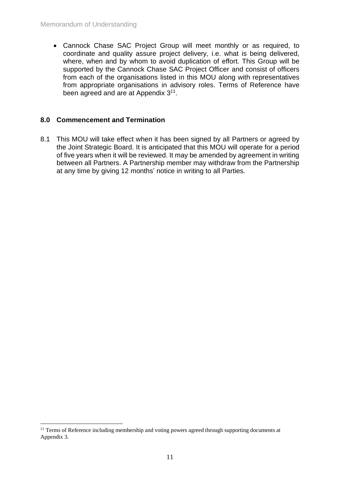• Cannock Chase SAC Project Group will meet monthly or as required, to coordinate and quality assure project delivery, i.e. what is being delivered, where, when and by whom to avoid duplication of effort. This Group will be supported by the Cannock Chase SAC Project Officer and consist of officers from each of the organisations listed in this MOU along with representatives from appropriate organisations in advisory roles. Terms of Reference have been agreed and are at Appendix 3<sup>11</sup>.

# **8.0 Commencement and Termination**

8.1 This MOU will take effect when it has been signed by all Partners or agreed by the Joint Strategic Board. It is anticipated that this MOU will operate for a period of five years when it will be reviewed. It may be amended by agreement in writing between all Partners. A Partnership member may withdraw from the Partnership at any time by giving 12 months' notice in writing to all Parties.

<sup>&</sup>lt;sup>11</sup> Terms of Reference including membership and voting powers agreed through supporting documents at Appendix 3.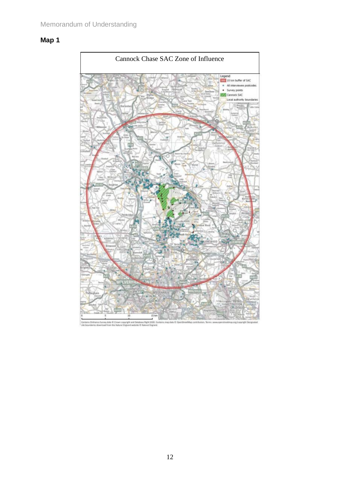# <span id="page-11-0"></span>**Map 1**



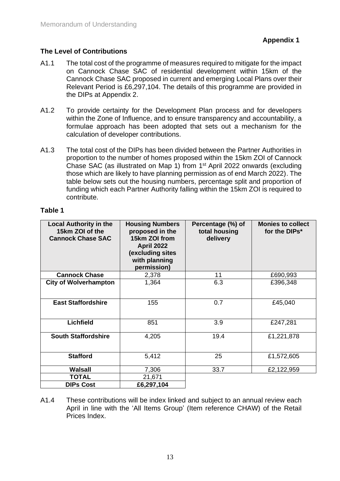# **The Level of Contributions**

- A1.1 The total cost of the programme of measures required to mitigate for the impact on Cannock Chase SAC of residential development within 15km of the Cannock Chase SAC proposed in current and emerging Local Plans over their Relevant Period is £6,297,104. The details of this programme are provided in the DIPs at Appendix 2.
- A1.2 To provide certainty for the Development Plan process and for developers within the Zone of Influence, and to ensure transparency and accountability, a formulae approach has been adopted that sets out a mechanism for the calculation of developer contributions.
- A1.3 The total cost of the DIPs has been divided between the Partner Authorities in proportion to the number of homes proposed within the 15km ZOI of Cannock Chase SAC (as illustrated on Map 1) from 1<sup>st</sup> April 2022 onwards (excluding those which are likely to have planning permission as of end March 2022). The table below sets out the housing numbers, percentage split and proportion of funding which each Partner Authority falling within the 15km ZOI is required to contribute.

# **Table 1**

| <b>Local Authority in the</b><br>15km ZOI of the<br><b>Cannock Chase SAC</b> | <b>Housing Numbers</b><br>proposed in the<br>15km ZOI from<br><b>April 2022</b><br>(excluding sites<br>with planning<br>permission) | Percentage (%) of<br>total housing<br>delivery | <b>Monies to collect</b><br>for the DIPs* |
|------------------------------------------------------------------------------|-------------------------------------------------------------------------------------------------------------------------------------|------------------------------------------------|-------------------------------------------|
| <b>Cannock Chase</b>                                                         | 2,378                                                                                                                               | 11                                             | £690,993                                  |
| <b>City of Wolverhampton</b>                                                 | 1,364                                                                                                                               | 6.3                                            | £396,348                                  |
| <b>East Staffordshire</b>                                                    | 155                                                                                                                                 | 0.7                                            | £45,040                                   |
| <b>Lichfield</b>                                                             | 851                                                                                                                                 | 3.9                                            | £247,281                                  |
| <b>South Staffordshire</b>                                                   | 4,205                                                                                                                               | 19.4                                           | £1,221,878                                |
| <b>Stafford</b>                                                              | 5,412                                                                                                                               | 25                                             | £1,572,605                                |
| <b>Walsall</b>                                                               | 7,306                                                                                                                               | 33.7                                           | £2,122,959                                |
| <b>TOTAL</b>                                                                 | 21,671                                                                                                                              |                                                |                                           |
| <b>DIPs Cost</b>                                                             | £6,297,104                                                                                                                          |                                                |                                           |

A1.4 These contributions will be index linked and subject to an annual review each April in line with the 'All Items Group' (Item reference CHAW) of the Retail Prices Index.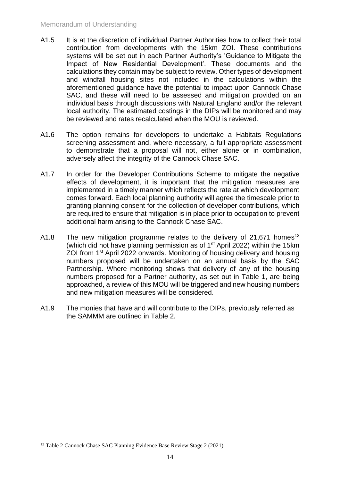- A1.5 It is at the discretion of individual Partner Authorities how to collect their total contribution from developments with the 15km ZOI. These contributions systems will be set out in each Partner Authority's 'Guidance to Mitigate the Impact of New Residential Development'. These documents and the calculations they contain may be subject to review. Other types of development and windfall housing sites not included in the calculations within the aforementioned guidance have the potential to impact upon Cannock Chase SAC, and these will need to be assessed and mitigation provided on an individual basis through discussions with Natural England and/or the relevant local authority. The estimated costings in the DIPs will be monitored and may be reviewed and rates recalculated when the MOU is reviewed.
- A1.6 The option remains for developers to undertake a Habitats Regulations screening assessment and, where necessary, a full appropriate assessment to demonstrate that a proposal will not, either alone or in combination, adversely affect the integrity of the Cannock Chase SAC.
- A1.7 In order for the Developer Contributions Scheme to mitigate the negative effects of development, it is important that the mitigation measures are implemented in a timely manner which reflects the rate at which development comes forward. Each local planning authority will agree the timescale prior to granting planning consent for the collection of developer contributions, which are required to ensure that mitigation is in place prior to occupation to prevent additional harm arising to the Cannock Chase SAC.
- A1.8 The new mitigation programme relates to the delivery of 21,671 homes<sup>12</sup> (which did not have planning permission as of  $1<sup>st</sup>$  April 2022) within the 15km ZOI from 1<sup>st</sup> April 2022 onwards. Monitoring of housing delivery and housing numbers proposed will be undertaken on an annual basis by the SAC Partnership. Where monitoring shows that delivery of any of the housing numbers proposed for a Partner authority, as set out in Table 1, are being approached, a review of this MOU will be triggered and new housing numbers and new mitigation measures will be considered.
- A1.9 The monies that have and will contribute to the DIPs, previously referred as the SAMMM are outlined in Table 2.

<sup>&</sup>lt;sup>12</sup> Table 2 Cannock Chase SAC Planning Evidence Base Review Stage 2 (2021)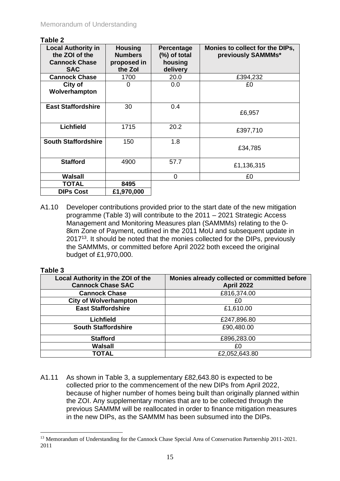#### **Table 2**

| <b>Local Authority in</b><br>the ZOI of the<br><b>Cannock Chase</b><br><b>SAC</b> | <b>Housing</b><br><b>Numbers</b><br>proposed in<br>the Zol | Percentage<br>(%) of total<br>housing<br>delivery | Monies to collect for the DIPs,<br>previously SAMMMs* |
|-----------------------------------------------------------------------------------|------------------------------------------------------------|---------------------------------------------------|-------------------------------------------------------|
| <b>Cannock Chase</b>                                                              | 1700                                                       | 20.0                                              | £394,232                                              |
| City of<br>Wolverhampton                                                          | 0                                                          | 0.0                                               | £0                                                    |
| <b>East Staffordshire</b>                                                         | 30                                                         | 0.4                                               | £6,957                                                |
| <b>Lichfield</b>                                                                  | 1715                                                       | 20.2                                              | £397,710                                              |
| <b>South Staffordshire</b>                                                        | 150                                                        | 1.8                                               | £34,785                                               |
| <b>Stafford</b>                                                                   | 4900                                                       | 57.7                                              | £1,136,315                                            |
| Walsall                                                                           |                                                            | 0                                                 | £0                                                    |
| TOTAL                                                                             | 8495                                                       |                                                   |                                                       |
| <b>DIPs Cost</b>                                                                  | £1,970,000                                                 |                                                   |                                                       |

A1.10 Developer contributions provided prior to the start date of the new mitigation programme (Table 3) will contribute to the 2011 – 2021 Strategic Access Management and Monitoring Measures plan (SAMMMs) relating to the 0- 8km Zone of Payment, outlined in the 2011 MoU and subsequent update in 2017<sup>13</sup>. It should be noted that the monies collected for the DIPs, previously the SAMMMs, or committed before April 2022 both exceed the original budget of £1,970,000.

# **Table 3**

| Local Authority in the ZOI of the<br><b>Cannock Chase SAC</b> | Monies already collected or committed before<br><b>April 2022</b> |
|---------------------------------------------------------------|-------------------------------------------------------------------|
| <b>Cannock Chase</b>                                          | £816,374.00                                                       |
| <b>City of Wolverhampton</b>                                  | £0                                                                |
| <b>East Staffordshire</b>                                     | £1,610.00                                                         |
| <b>Lichfield</b>                                              | £247,896.80                                                       |
| <b>South Staffordshire</b>                                    | £90,480.00                                                        |
| <b>Stafford</b>                                               | £896,283.00                                                       |
| <b>Walsall</b>                                                | £0                                                                |
| TOTAL                                                         | £2,052,643.80                                                     |

A1.11 As shown in Table 3, a supplementary £82,643.80 is expected to be collected prior to the commencement of the new DIPs from April 2022, because of higher number of homes being built than originally planned within the ZOI. Any supplementary monies that are to be collected through the previous SAMMM will be reallocated in order to finance mitigation measures in the new DIPs, as the SAMMM has been subsumed into the DIPs.

<sup>&</sup>lt;sup>13</sup> Memorandum of Understanding for the Cannock Chase Special Area of Conservation Partnership 2011-2021. 2011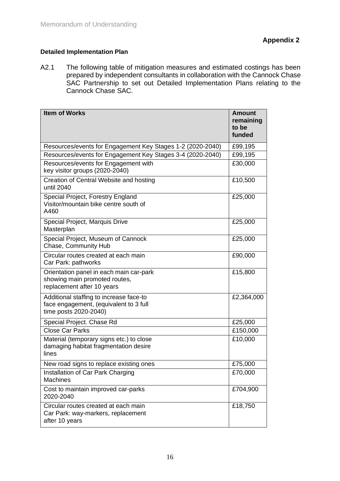# <span id="page-15-0"></span>**Detailed Implementation Plan**

A2.1 The following table of mitigation measures and estimated costings has been prepared by independent consultants in collaboration with the Cannock Chase SAC Partnership to set out Detailed Implementation Plans relating to the Cannock Chase SAC.

| <b>Item of Works</b>                                                                                       | <b>Amount</b><br>remaining<br>to be<br>funded |
|------------------------------------------------------------------------------------------------------------|-----------------------------------------------|
| Resources/events for Engagement Key Stages 1-2 (2020-2040)                                                 | £99,195                                       |
| Resources/events for Engagement Key Stages 3-4 (2020-2040)                                                 | £99,195                                       |
| Resources/events for Engagement with<br>key visitor groups (2020-2040)                                     | £30,000                                       |
| Creation of Central Website and hosting<br>until 2040                                                      | £10,500                                       |
| Special Project, Forestry England<br>Visitor/mountain bike centre south of<br>A460                         | £25,000                                       |
| Special Project, Marquis Drive<br>Masterplan                                                               | £25,000                                       |
| Special Project, Museum of Cannock<br>Chase, Community Hub                                                 | £25,000                                       |
| Circular routes created at each main<br>Car Park: pathworks                                                | £90,000                                       |
| Orientation panel in each main car-park<br>showing main promoted routes,<br>replacement after 10 years     | £15,800                                       |
| Additional staffing to increase face-to<br>face engagement, (equivalent to 3 full<br>time posts 2020-2040) | £2,364,000                                    |
| Special Project. Chase Rd                                                                                  | £25,000                                       |
| <b>Close Car Parks</b>                                                                                     | £150,000                                      |
| Material (temporary signs etc.) to close<br>damaging habitat fragmentation desire<br>lines                 | £10,000                                       |
| New road signs to replace existing ones                                                                    | £75,000                                       |
| Installation of Car Park Charging<br><b>Machines</b>                                                       | £70,000                                       |
| Cost to maintain improved car-parks<br>2020-2040                                                           | £704,900                                      |
| Circular routes created at each main<br>Car Park: way-markers, replacement<br>after 10 years               | £18,750                                       |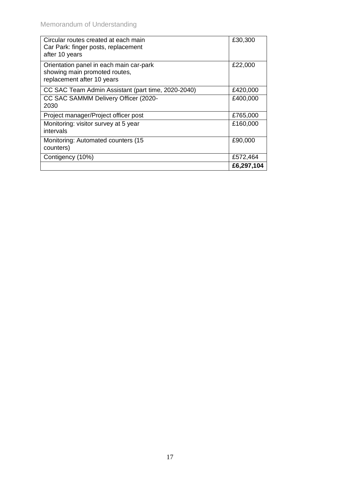| Circular routes created at each main<br>Car Park: finger posts, replacement<br>after 10 years          | £30,300    |
|--------------------------------------------------------------------------------------------------------|------------|
| Orientation panel in each main car-park<br>showing main promoted routes,<br>replacement after 10 years | £22,000    |
| CC SAC Team Admin Assistant (part time, 2020-2040)                                                     | £420,000   |
| CC SAC SAMMM Delivery Officer (2020-<br>2030                                                           | £400,000   |
| Project manager/Project officer post                                                                   | £765,000   |
| Monitoring: visitor survey at 5 year<br>intervals                                                      | £160,000   |
| Monitoring: Automated counters (15<br>counters)                                                        | £90,000    |
| Contigency (10%)                                                                                       | £572,464   |
|                                                                                                        | £6,297,104 |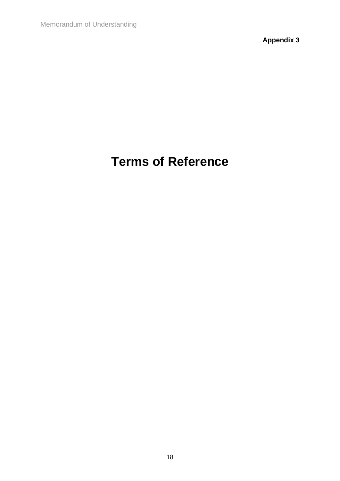**Appendix 3**

# <span id="page-17-0"></span>**Terms of Reference**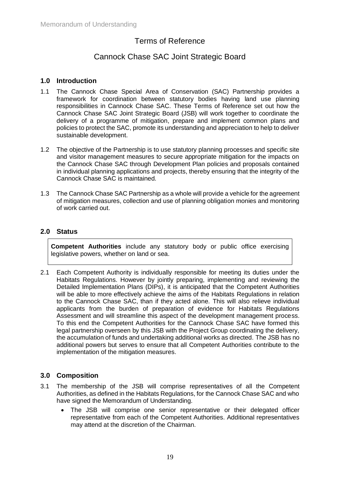# Terms of Reference

# Cannock Chase SAC Joint Strategic Board

# **1.0 Introduction**

- 1.1 The Cannock Chase Special Area of Conservation (SAC) Partnership provides a framework for coordination between statutory bodies having land use planning responsibilities in Cannock Chase SAC. These Terms of Reference set out how the Cannock Chase SAC Joint Strategic Board (JSB) will work together to coordinate the delivery of a programme of mitigation, prepare and implement common plans and policies to protect the SAC, promote its understanding and appreciation to help to deliver sustainable development.
- 1.2 The objective of the Partnership is to use statutory planning processes and specific site and visitor management measures to secure appropriate mitigation for the impacts on the Cannock Chase SAC through Development Plan policies and proposals contained in individual planning applications and projects, thereby ensuring that the integrity of the Cannock Chase SAC is maintained.
- 1.3 The Cannock Chase SAC Partnership as a whole will provide a vehicle for the agreement of mitigation measures, collection and use of planning obligation monies and monitoring of work carried out.

# **2.0 Status**

**Competent Authorities** include any statutory body or public office exercising legislative powers, whether on land or sea.

2.1 Each Competent Authority is individually responsible for meeting its duties under the Habitats Regulations. However by jointly preparing, implementing and reviewing the Detailed Implementation Plans (DIPs), it is anticipated that the Competent Authorities will be able to more effectively achieve the aims of the Habitats Regulations in relation to the Cannock Chase SAC, than if they acted alone. This will also relieve individual applicants from the burden of preparation of evidence for Habitats Regulations Assessment and will streamline this aspect of the development management process. To this end the Competent Authorities for the Cannock Chase SAC have formed this legal partnership overseen by this JSB with the Project Group coordinating the delivery, the accumulation of funds and undertaking additional works as directed. The JSB has no additional powers but serves to ensure that all Competent Authorities contribute to the implementation of the mitigation measures.

# **3.0 Composition**

- 3.1 The membership of the JSB will comprise representatives of all the Competent Authorities, as defined in the Habitats Regulations, for the Cannock Chase SAC and who have signed the Memorandum of Understanding.
	- The JSB will comprise one senior representative or their delegated officer representative from each of the Competent Authorities. Additional representatives may attend at the discretion of the Chairman.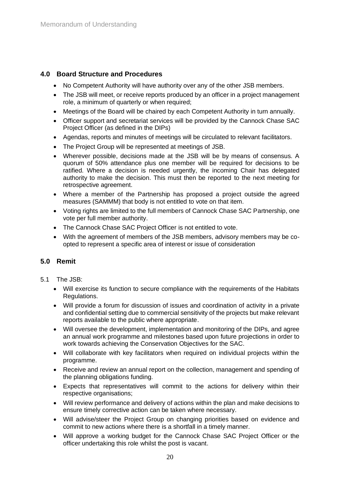# **4.0 Board Structure and Procedures**

- No Competent Authority will have authority over any of the other JSB members.
- The JSB will meet, or receive reports produced by an officer in a project management role, a minimum of quarterly or when required;
- Meetings of the Board will be chaired by each Competent Authority in turn annually.
- Officer support and secretariat services will be provided by the Cannock Chase SAC Project Officer (as defined in the DIPs)
- Agendas, reports and minutes of meetings will be circulated to relevant facilitators.
- The Project Group will be represented at meetings of JSB.
- Wherever possible, decisions made at the JSB will be by means of consensus. A quorum of 50% attendance plus one member will be required for decisions to be ratified. Where a decision is needed urgently, the incoming Chair has delegated authority to make the decision. This must then be reported to the next meeting for retrospective agreement.
- Where a member of the Partnership has proposed a project outside the agreed measures (SAMMM) that body is not entitled to vote on that item.
- Voting rights are limited to the full members of Cannock Chase SAC Partnership, one vote per full member authority.
- The Cannock Chase SAC Project Officer is not entitled to vote.
- With the agreement of members of the JSB members, advisory members may be coopted to represent a specific area of interest or issue of consideration

# **5.0 Remit**

#### 5.1 The JSB:

- Will exercise its function to secure compliance with the requirements of the Habitats Regulations.
- Will provide a forum for discussion of issues and coordination of activity in a private and confidential setting due to commercial sensitivity of the projects but make relevant reports available to the public where appropriate.
- Will oversee the development, implementation and monitoring of the DIPs, and agree an annual work programme and milestones based upon future projections in order to work towards achieving the Conservation Objectives for the SAC.
- Will collaborate with key facilitators when required on individual projects within the programme.
- Receive and review an annual report on the collection, management and spending of the planning obligations funding.
- Expects that representatives will commit to the actions for delivery within their respective organisations;
- Will review performance and delivery of actions within the plan and make decisions to ensure timely corrective action can be taken where necessary.
- Will advise/steer the Project Group on changing priorities based on evidence and commit to new actions where there is a shortfall in a timely manner.
- Will approve a working budget for the Cannock Chase SAC Project Officer or the officer undertaking this role whilst the post is vacant.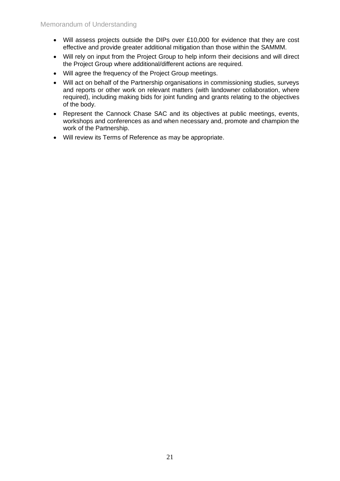- Will assess projects outside the DIPs over £10,000 for evidence that they are cost effective and provide greater additional mitigation than those within the SAMMM.
- Will rely on input from the Project Group to help inform their decisions and will direct the Project Group where additional/different actions are required.
- Will agree the frequency of the Project Group meetings.
- Will act on behalf of the Partnership organisations in commissioning studies, surveys and reports or other work on relevant matters (with landowner collaboration, where required), including making bids for joint funding and grants relating to the objectives of the body.
- Represent the Cannock Chase SAC and its objectives at public meetings, events, workshops and conferences as and when necessary and, promote and champion the work of the Partnership.
- Will review its Terms of Reference as may be appropriate.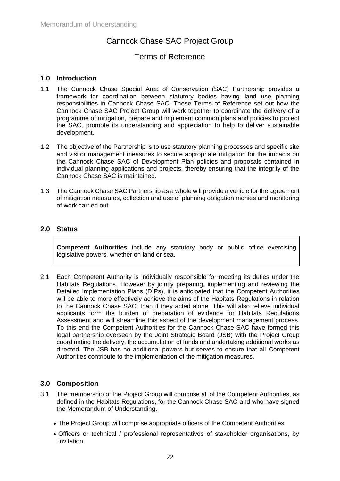# Cannock Chase SAC Project Group

# Terms of Reference

# **1.0 Introduction**

- 1.1 The Cannock Chase Special Area of Conservation (SAC) Partnership provides a framework for coordination between statutory bodies having land use planning responsibilities in Cannock Chase SAC. These Terms of Reference set out how the Cannock Chase SAC Project Group will work together to coordinate the delivery of a programme of mitigation, prepare and implement common plans and policies to protect the SAC, promote its understanding and appreciation to help to deliver sustainable development.
- 1.2 The objective of the Partnership is to use statutory planning processes and specific site and visitor management measures to secure appropriate mitigation for the impacts on the Cannock Chase SAC of Development Plan policies and proposals contained in individual planning applications and projects, thereby ensuring that the integrity of the Cannock Chase SAC is maintained.
- 1.3 The Cannock Chase SAC Partnership as a whole will provide a vehicle for the agreement of mitigation measures, collection and use of planning obligation monies and monitoring of work carried out.

# **2.0 Status**

**Competent Authorities** include any statutory body or public office exercising legislative powers, whether on land or sea.

2.1 Each Competent Authority is individually responsible for meeting its duties under the Habitats Regulations. However by jointly preparing, implementing and reviewing the Detailed Implementation Plans (DIPs), it is anticipated that the Competent Authorities will be able to more effectively achieve the aims of the Habitats Regulations in relation to the Cannock Chase SAC, than if they acted alone. This will also relieve individual applicants form the burden of preparation of evidence for Habitats Regulations Assessment and will streamline this aspect of the development management process. To this end the Competent Authorities for the Cannock Chase SAC have formed this legal partnership overseen by the Joint Strategic Board (JSB) with the Project Group coordinating the delivery, the accumulation of funds and undertaking additional works as directed. The JSB has no additional powers but serves to ensure that all Competent Authorities contribute to the implementation of the mitigation measures.

# **3.0 Composition**

- 3.1 The membership of the Project Group will comprise all of the Competent Authorities, as defined in the Habitats Regulations, for the Cannock Chase SAC and who have signed the Memorandum of Understanding.
	- The Project Group will comprise appropriate officers of the Competent Authorities
	- Officers or technical / professional representatives of stakeholder organisations, by invitation.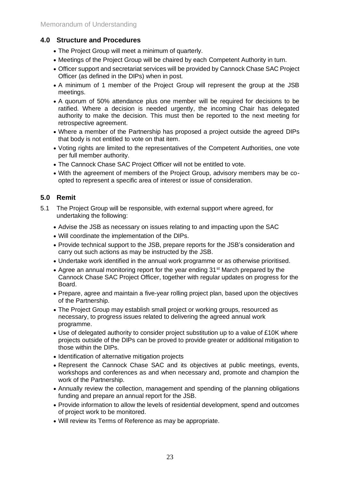# **4.0 Structure and Procedures**

- The Project Group will meet a minimum of quarterly.
- Meetings of the Project Group will be chaired by each Competent Authority in turn.
- Officer support and secretariat services will be provided by Cannock Chase SAC Project Officer (as defined in the DIPs) when in post.
- A minimum of 1 member of the Project Group will represent the group at the JSB meetings.
- A quorum of 50% attendance plus one member will be required for decisions to be ratified. Where a decision is needed urgently, the incoming Chair has delegated authority to make the decision. This must then be reported to the next meeting for retrospective agreement.
- Where a member of the Partnership has proposed a project outside the agreed DIPs that body is not entitled to vote on that item.
- Voting rights are limited to the representatives of the Competent Authorities, one vote per full member authority.
- The Cannock Chase SAC Project Officer will not be entitled to vote.
- With the agreement of members of the Project Group, advisory members may be coopted to represent a specific area of interest or issue of consideration.

# **5.0 Remit**

- 5.1 The Project Group will be responsible, with external support where agreed, for undertaking the following:
	- Advise the JSB as necessary on issues relating to and impacting upon the SAC
	- Will coordinate the implementation of the DIPs.
	- Provide technical support to the JSB, prepare reports for the JSB's consideration and carry out such actions as may be instructed by the JSB.
	- Undertake work identified in the annual work programme or as otherwise prioritised.
	- Agree an annual monitoring report for the year ending 31<sup>st</sup> March prepared by the Cannock Chase SAC Project Officer, together with regular updates on progress for the Board.
	- Prepare, agree and maintain a five-year rolling project plan, based upon the objectives of the Partnership.
	- The Project Group may establish small project or working groups, resourced as necessary, to progress issues related to delivering the agreed annual work programme.
	- Use of delegated authority to consider project substitution up to a value of £10K where projects outside of the DIPs can be proved to provide greater or additional mitigation to those within the DIPs.
	- Identification of alternative mitigation projects
	- Represent the Cannock Chase SAC and its objectives at public meetings, events, workshops and conferences as and when necessary and, promote and champion the work of the Partnership.
	- Annually review the collection, management and spending of the planning obligations funding and prepare an annual report for the JSB.
	- Provide information to allow the levels of residential development, spend and outcomes of project work to be monitored.
	- Will review its Terms of Reference as may be appropriate.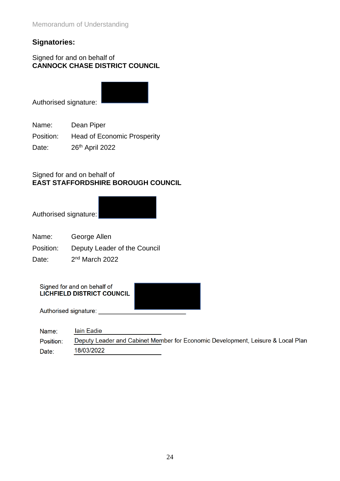# **Signatories:**

# Signed for and on behalf of **CANNOCK CHASE DISTRICT COUNCIL**

Authorised signature:

Name: Dean Piper

Position: Head of Economic Prosperity

Date: 26<sup>th</sup> April 2022

# Signed for and on behalf of **EAST STAFFORDSHIRE BOROUGH COUNCIL**

Authorised signature:

- Name: George Allen
- Position: Deputy Leader of the Council

Date:  $2<sup>nd</sup>$  March 2022

Signed for and on behalf of LICHFIELD DISTRICT COUNCIL

Authorised signature:

| Name:     | <b>lain Eadie</b>                                                               |
|-----------|---------------------------------------------------------------------------------|
| Position: | Deputy Leader and Cabinet Member for Economic Development, Leisure & Local Plan |
| Date:     | 18/03/2022                                                                      |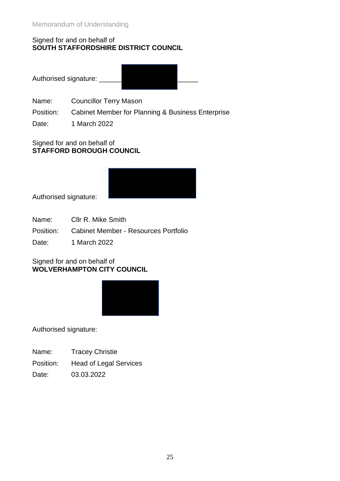# Signed for and on behalf of **SOUTH STAFFORDSHIRE DISTRICT COUNCIL**

Authorised signature:

Name: Councillor Terry Mason

Position: Cabinet Member for Planning & Business Enterprise

Date: 1 March 2022

# Signed for and on behalf of **STAFFORD BOROUGH COUNCIL**



Authorised signature:

- Name: Cllr R. Mike Smith
- Position: Cabinet Member Resources Portfolio

Date: 1 March 2022

# Signed for and on behalf of **WOLVERHAMPTON CITY COUNCIL**



Authorised signature:

Name: Tracey Christie

Position: Head of Legal Services

Date: 03.03.2022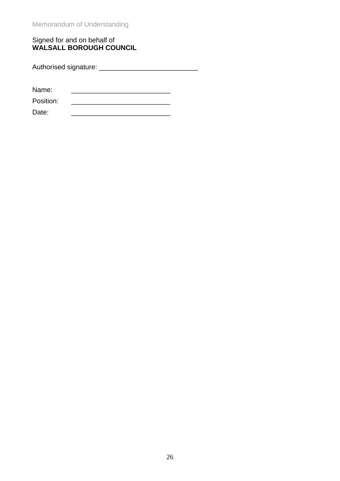# Signed for and on behalf of **WALSALL BOROUGH COUNCIL**

Authorised signature: \_\_\_\_\_\_\_\_\_\_\_\_\_\_\_\_\_\_\_\_\_\_\_\_\_\_

Name:

Position: \_\_\_\_\_\_\_\_\_\_\_\_\_\_\_\_\_\_\_\_\_\_\_\_\_\_ Date: \_\_\_\_\_\_\_\_\_\_\_\_\_\_\_\_\_\_\_\_\_\_\_\_\_\_